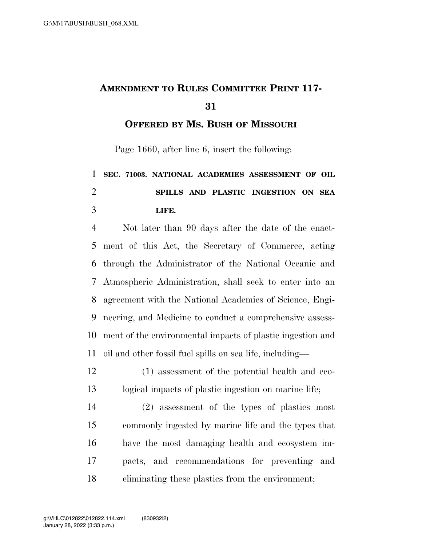## **AMENDMENT TO RULES COMMITTEE PRINT 117-**

**OFFERED BY MS. BUSH OF MISSOURI**

Page 1660, after line 6, insert the following:

## **SEC. 71003. NATIONAL ACADEMIES ASSESSMENT OF OIL SPILLS AND PLASTIC INGESTION ON SEA LIFE.**

 Not later than 90 days after the date of the enact- ment of this Act, the Secretary of Commerce, acting through the Administrator of the National Oceanic and Atmospheric Administration, shall seek to enter into an agreement with the National Academies of Science, Engi- neering, and Medicine to conduct a comprehensive assess- ment of the environmental impacts of plastic ingestion and oil and other fossil fuel spills on sea life, including—

 (1) assessment of the potential health and eco-logical impacts of plastic ingestion on marine life;

 (2) assessment of the types of plastics most commonly ingested by marine life and the types that have the most damaging health and ecosystem im- pacts, and recommendations for preventing and eliminating these plastics from the environment;